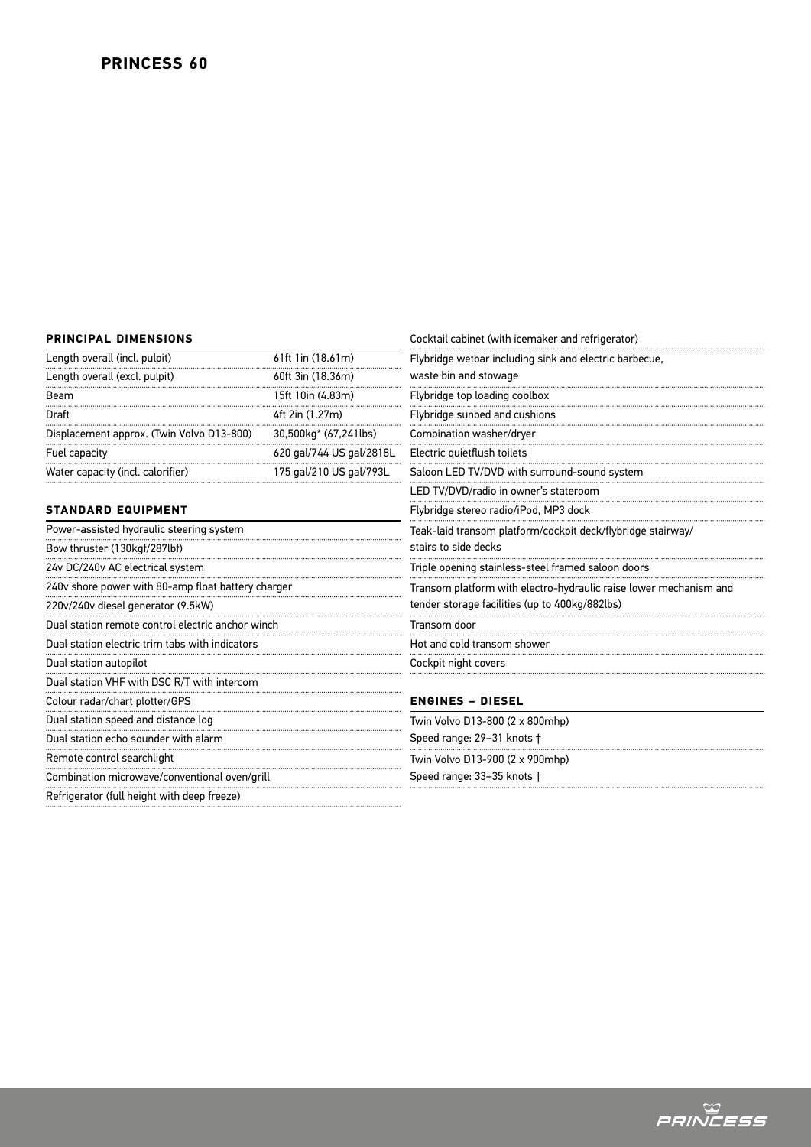## **PRINCIPAL DIMENSIONS**

| Length overall (incl. pulpit)                      | 61ft 1in (18.61m)        | Flybridge wetbar including sink and electric barbecue,<br>waste bin and stowage |
|----------------------------------------------------|--------------------------|---------------------------------------------------------------------------------|
| Length overall (excl. pulpit)                      | 60ft 3in (18.36m)        |                                                                                 |
| Beam                                               | 15ft 10in (4.83m)        | Flybridge top loading coolbox                                                   |
| Draft                                              | 4ft 2in (1.27m)          | Flybridge sunbed and cushions                                                   |
| Displacement approx. (Twin Volvo D13-800)          | 30,500kg* (67,241lbs)    | Combination washer/dryer                                                        |
| Fuel capacity                                      | 620 gal/744 US gal/2818L | Electric quietflush toilets                                                     |
| Water capacity (incl. calorifier)                  | 175 gal/210 US gal/793L  | Saloon LED TV/DVD with surround-sound system                                    |
|                                                    |                          | LED TV/DVD/radio in owner's stateroom                                           |
| <b>STANDARD EQUIPMENT</b>                          |                          | Flybridge stereo radio/iPod, MP3 dock                                           |
| Power-assisted hydraulic steering system           |                          | Teak-laid transom platform/cockpit deck/flybridge stairway/                     |
| Bow thruster (130kgf/287lbf)                       |                          | stairs to side decks                                                            |
| 24v DC/240v AC electrical system                   |                          | Triple opening stainless-steel framed saloon doors                              |
| 240v shore power with 80-amp float battery charger |                          | Transom platform with electro-hydraulic raise lower mechanism and               |
| 220v/240v diesel generator (9.5kW)                 |                          | tender storage facilities (up to 400kg/882lbs)                                  |
| Dual station remote control electric anchor winch  |                          | Transom door                                                                    |
| Dual station electric trim tabs with indicators    |                          | Hot and cold transom shower                                                     |
| Dual station autopilot                             |                          | Cockpit night covers                                                            |
| Dual station VHF with DSC R/T with intercom        |                          |                                                                                 |
| Colour radar/chart plotter/GPS                     |                          | <b>ENGINES - DIESEL</b>                                                         |
| Dual station speed and distance log                |                          | Twin Volvo D13-800 (2 x 800mhp)                                                 |
| Dual station echo sounder with alarm               |                          | Speed range: 29-31 knots +                                                      |
| Remote control searchlight                         |                          | Twin Volvo D13-900 (2 x 900mhp)                                                 |
| Combination microwave/conventional oven/grill      |                          | Speed range: 33-35 knots +                                                      |
| Refrigerator (full height with deep freeze)        |                          |                                                                                 |
|                                                    |                          |                                                                                 |

Cocktail cabinet (with icemaker and refrigerator)

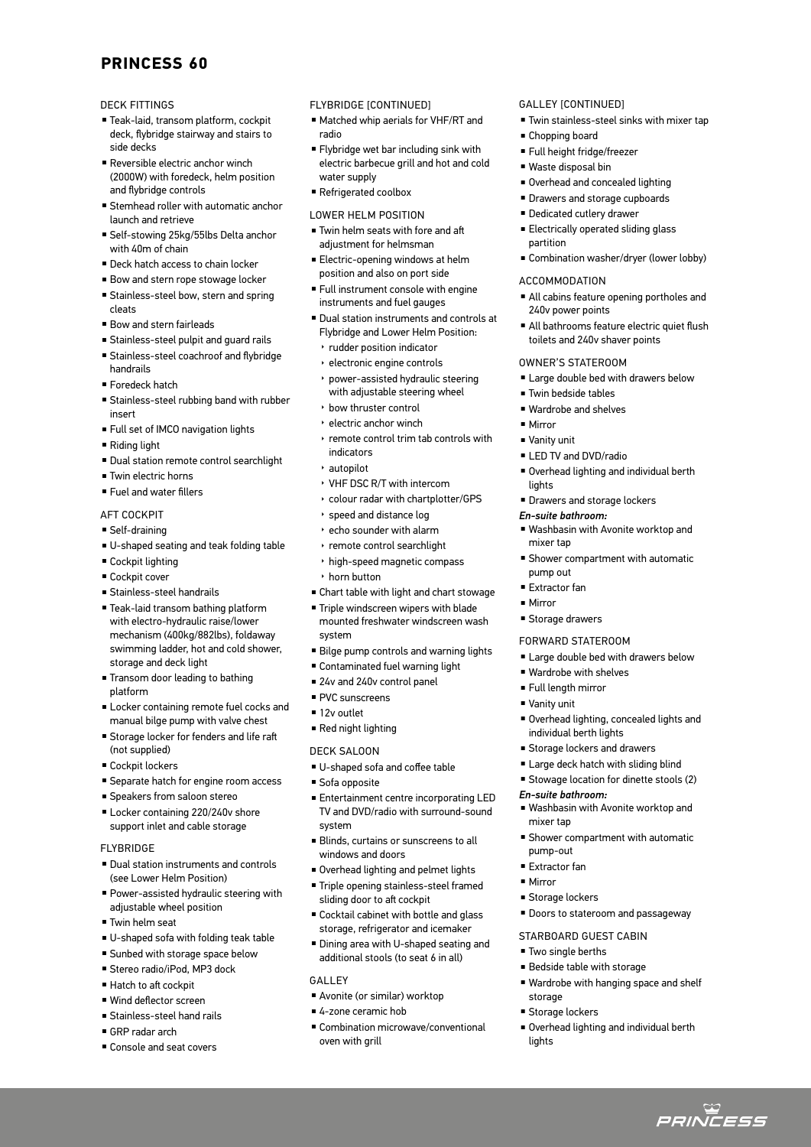# **PRINCESS 60**

## DECK FITTINGS

- Teak-laid, transom platform, cockpit deck, flybridge stairway and stairs to side decks
- <sup>n</sup> Reversible electric anchor winch (2000W) with foredeck, helm position and flybridge controls
- **E** Stemhead roller with automatic anchor launch and retrieve
- <sup>n</sup> Self-stowing 25kg/55lbs Delta anchor with 40m of chain
- **Deck hatch access to chain locker**
- Bow and stern rope stowage locker
- **B** Stainless-steel bow, stern and spring cleats
- Bow and stern fairleads
- **Example Stainless-steel pulpit and quard rails**
- <sup>n</sup> Stainless-steel coachroof and flybridge handrails
- Foredeck hatch
- **Example Stainless-steel rubbing band with rubber** insert
- Full set of IMCO navigation lights
- $\blacksquare$  Riding light
- <sup>n</sup> Dual station remote control searchlight
- <sup>n</sup> Twin electric horns
- <sup>n</sup> Fuel and water fillers

## AFT COCKPIT

- $\blacksquare$  Self-draining
- U-shaped seating and teak folding table
- $C$ ockpit lighting
- Cockpit cover
- $\blacksquare$  Stainless-steel handrails
- Teak-laid transom bathing platform with electro-hydraulic raise/lower mechanism (400kg/882lbs), foldaway swimming ladder, hot and cold shower, storage and deck light
- $\blacksquare$  Transom door leading to bathing platform
- <sup>n</sup> Locker containing remote fuel cocks and manual bilge pump with valve chest
- **External Storage locker for fenders and life raft** (not supplied)
- Cockpit lockers
- <sup>n</sup> Separate hatch for engine room access
- <sup>n</sup> Speakers from saloon stereo
- Locker containing 220/240v shore support inlet and cable storage

## FLYBRIDGE

- Dual station instruments and controls (see Lower Helm Position)
- <sup>n</sup> Power-assisted hydraulic steering with adjustable wheel position
- **Twin helm seat**
- U-shaped sofa with folding teak table
- **E** Sunbed with storage space below
- Stereo radio/iPod, MP3 dock
- Hatch to aft cockpit
- <sup>n</sup> Wind deflector screen
- <sup>n</sup> Stainless-steel hand rails
- $\blacksquare$  GRP radar arch
- Console and seat covers

## FLYBRIDGE [CONTINUED]

- Matched whip aerials for VHF/RT and radio
- <sup>n</sup> Flybridge wet bar including sink with electric barbecue grill and hot and cold water supply
- <sup>n</sup> Refrigerated coolbox
- LOWER HELM POSITION
- Twin helm seats with fore and aft adjustment for helmsman
- **Electric-opening windows at helm** position and also on port side
- <sup>n</sup> Full instrument console with engine instruments and fuel gauges
- <sup>n</sup> Dual station instruments and controls at Flybridge and Lower Helm Position:
	- ▶ rudder position indicator
	- ▶ electronic engine controls
	- ▶ power-assisted hydraulic steering with adjustable steering wheel
	- ▶ bow thruster control
- ▶ electric anchor winch
- ▶ remote control trim tab controls with indicators
- ▶ autopilot
- ▶ VHF DSC R/T with intercom
- ▶ colour radar with chartplotter/GPS
- ▶ speed and distance log
- ▶ echo sounder with alarm
- ▶ remote control searchlight
- ▶ high-speed magnetic compass ▶ horn button
- <sup>n</sup> Chart table with light and chart stowage
- Triple windscreen wipers with blade mounted freshwater windscreen wash
- system
- <sup>n</sup> Bilge pump controls and warning lights
- Contaminated fuel warning light
- 24v and 240v control panel PVC sunscreens
- <sup>n</sup> 12v outlet
- $\blacksquare$  Red night lighting
- DECK SALOON
- <sup>n</sup> U-shaped sofa and coffee table
- Sofa opposite
- <sup>n</sup> Entertainment centre incorporating LED TV and DVD/radio with surround-sound system
- Blinds, curtains or sunscreens to all windows and doors
- Overhead lighting and pelmet lights
- <sup>n</sup> Triple opening stainless-steel framed sliding door to aft cockpit
- <sup>n</sup> Cocktail cabinet with bottle and glass storage, refrigerator and icemaker
- <sup>n</sup> Dining area with U-shaped seating and additional stools (to seat 6 in all)
- GALLEY
- <sup>n</sup> Avonite (or similar) worktop
- <sup>n</sup> 4-zone ceramic hob
- Combination microwave/conventional oven with grill

## GALLEY [CONTINUED]

- $\blacksquare$  Twin stainless-steel sinks with mixer tap
- Chopping board
- <sup>n</sup> Full height fridge/freezer
- Waste disposal bin
- Overhead and concealed lighting
- **Drawers and storage cupboards**
- **Dedicated cutlery drawer**
- **Electrically operated sliding glass** partition

toilets and 240v shaver points

**E** Large double bed with drawers below

<sup>n</sup> Overhead lighting and individual berth

<sup>n</sup> Washbasin with Avonite worktop and

**Exercise Shower compartment with automatic** 

**Example 3** Large double bed with drawers below

<sup>n</sup> Overhead lighting, concealed lights and

■ Washbasin with Avonite worktop and

**Exercise Shower compartment with automatic** 

**Doors to stateroom and passageway** 

■ Wardrobe with hanging space and shelf

<sup>n</sup> Overhead lighting and individual berth

ت<br>*PRINCESS* 

STARBOARD GUEST CABIN  $\blacksquare$  Two single berths **Bedside table with storage** 

<sup>n</sup> Combination washer/dryer (lower lobby)

#### ACCOMMODATION

OWNER'S STATEROOM

■ Twin bedside tables ■ Wardrobe and shelves

**E** LED TV and DVD/radio

*En-suite bathroom:*

mixer tap

pump out <sup>n</sup> Extractor fan  $Mirror$ 

**E** Storage drawers FORWARD STATEROOM

■ Wardrobe with shelves <sup>n</sup> Full length mirror ■ Vanity unit

individual berth lights **Exercise Storage lockers and drawers Example 1** Large deck hatch with sliding blind **E** Stowage location for dinette stools (2)

*En-suite bathroom:*

mixer tap

pump-out ■ Extractor fan <sup>n</sup> Mirror

**E** Storage lockers

storage **E** Storage lockers

lights

**• Drawers and storage lockers** 

 $Mirror$ ■ Vanity unit

lights

<sup>n</sup> All cabins feature opening portholes and 240v power points All bathrooms feature electric quiet flush